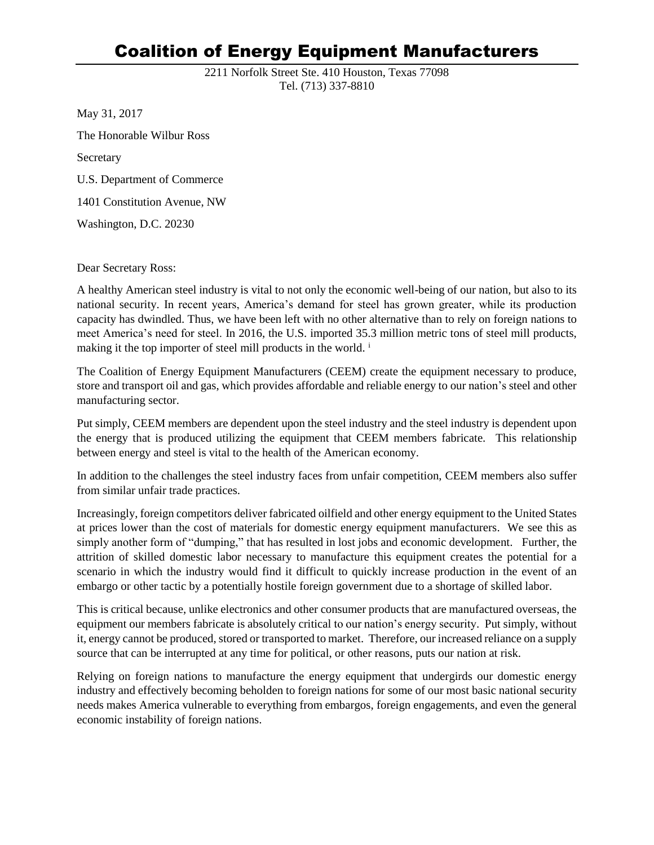## Coalition of Energy Equipment Manufacturers

2211 Norfolk Street Ste. 410 Houston, Texas 77098 Tel. (713) 337-8810

May 31, 2017

The Honorable Wilbur Ross

**Secretary** 

U.S. Department of Commerce

1401 Constitution Avenue, NW

Washington, D.C. 20230

Dear Secretary Ross:

A healthy American steel industry is vital to not only the economic well-being of our nation, but also to its national security. In recent years, America's demand for steel has grown greater, while its production capacity has dwindled. Thus, we have been left with no other alternative than to rely on foreign nations to meet America's need for steel. In 2016, the U.S. imported 35.3 million metric tons of steel mill products, making it the top importer of steel mill products in the world.<sup>i</sup>

The Coalition of Energy Equipment Manufacturers (CEEM) create the equipment necessary to produce, store and transport oil and gas, which provides affordable and reliable energy to our nation's steel and other manufacturing sector.

Put simply, CEEM members are dependent upon the steel industry and the steel industry is dependent upon the energy that is produced utilizing the equipment that CEEM members fabricate. This relationship between energy and steel is vital to the health of the American economy.

In addition to the challenges the steel industry faces from unfair competition, CEEM members also suffer from similar unfair trade practices.

Increasingly, foreign competitors deliver fabricated oilfield and other energy equipment to the United States at prices lower than the cost of materials for domestic energy equipment manufacturers. We see this as simply another form of "dumping," that has resulted in lost jobs and economic development. Further, the attrition of skilled domestic labor necessary to manufacture this equipment creates the potential for a scenario in which the industry would find it difficult to quickly increase production in the event of an embargo or other tactic by a potentially hostile foreign government due to a shortage of skilled labor.

This is critical because, unlike electronics and other consumer products that are manufactured overseas, the equipment our members fabricate is absolutely critical to our nation's energy security. Put simply, without it, energy cannot be produced, stored or transported to market. Therefore, our increased reliance on a supply source that can be interrupted at any time for political, or other reasons, puts our nation at risk.

Relying on foreign nations to manufacture the energy equipment that undergirds our domestic energy industry and effectively becoming beholden to foreign nations for some of our most basic national security needs makes America vulnerable to everything from embargos, foreign engagements, and even the general economic instability of foreign nations.